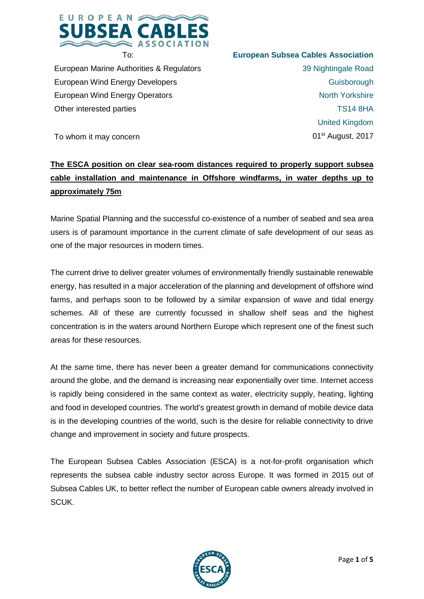

European Marine Authorities & Regulators European Wind Energy Developers European Wind Energy Operators Other interested parties

# **European Subsea Cables Association**

39 Nightingale Road **Guisborough** North Yorkshire TS14 8HA United Kingdom 01st August, 2017

To whom it may concern

## **The ESCA position on clear sea-room distances required to properly support subsea cable installation and maintenance in Offshore windfarms, in water depths up to approximately 75m**

Marine Spatial Planning and the successful co-existence of a number of seabed and sea area users is of paramount importance in the current climate of safe development of our seas as one of the major resources in modern times.

The current drive to deliver greater volumes of environmentally friendly sustainable renewable energy, has resulted in a major acceleration of the planning and development of offshore wind farms, and perhaps soon to be followed by a similar expansion of wave and tidal energy schemes. All of these are currently focussed in shallow shelf seas and the highest concentration is in the waters around Northern Europe which represent one of the finest such areas for these resources.

At the same time, there has never been a greater demand for communications connectivity around the globe, and the demand is increasing near exponentially over time. Internet access is rapidly being considered in the same context as water, electricity supply, heating, lighting and food in developed countries. The world's greatest growth in demand of mobile device data is in the developing countries of the world, such is the desire for reliable connectivity to drive change and improvement in society and future prospects.

The European Subsea Cables Association (ESCA) is a not-for-profit organisation which represents the subsea cable industry sector across Europe. It was formed in 2015 out of Subsea Cables UK, to better reflect the number of European cable owners already involved in SCUK.

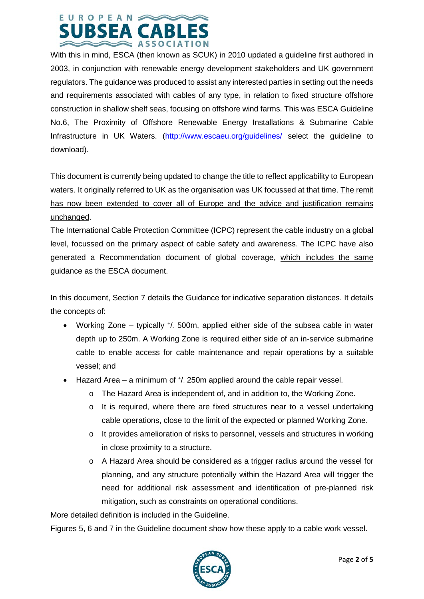

With this in mind, ESCA (then known as SCUK) in 2010 updated a guideline first authored in 2003, in conjunction with renewable energy development stakeholders and UK government regulators. The guidance was produced to assist any interested parties in setting out the needs and requirements associated with cables of any type, in relation to fixed structure offshore construction in shallow shelf seas, focusing on offshore wind farms. This was ESCA Guideline No.6, The Proximity of Offshore Renewable Energy Installations & Submarine Cable Infrastructure in UK Waters. [\(http://www.escaeu.org/guidelines/](http://www.escaeu.org/guidelines/) select the guideline to download).

This document is currently being updated to change the title to reflect applicability to European waters. It originally referred to UK as the organisation was UK focussed at that time. The remit has now been extended to cover all of Europe and the advice and justification remains unchanged.

The International Cable Protection Committee (ICPC) represent the cable industry on a global level, focussed on the primary aspect of cable safety and awareness. The ICPC have also generated a Recommendation document of global coverage, which includes the same guidance as the ESCA document.

In this document, Section 7 details the Guidance for indicative separation distances. It details the concepts of:

- Working Zone typically  $\dot{\gamma}$ . 500m, applied either side of the subsea cable in water depth up to 250m. A Working Zone is required either side of an in-service submarine cable to enable access for cable maintenance and repair operations by a suitable vessel; and
- $\bullet$  Hazard Area a minimum of  $\frac{1}{2}$  250m applied around the cable repair vessel.
	- $\circ$  The Hazard Area is independent of, and in addition to, the Working Zone.
	- o It is required, where there are fixed structures near to a vessel undertaking cable operations, close to the limit of the expected or planned Working Zone.
	- o It provides amelioration of risks to personnel, vessels and structures in working in close proximity to a structure.
	- o A Hazard Area should be considered as a trigger radius around the vessel for planning, and any structure potentially within the Hazard Area will trigger the need for additional risk assessment and identification of pre-planned risk mitigation, such as constraints on operational conditions.

More detailed definition is included in the Guideline.

Figures 5, 6 and 7 in the Guideline document show how these apply to a cable work vessel.

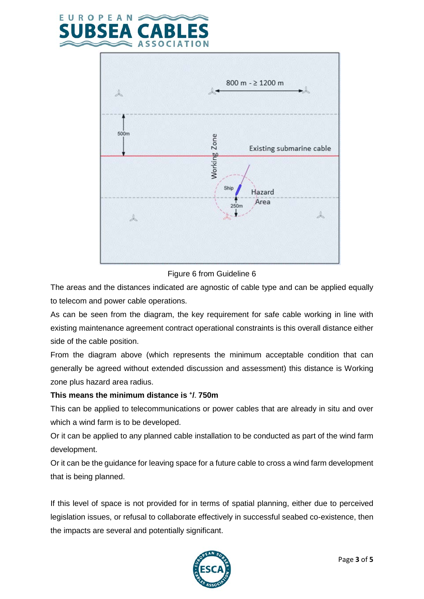



#### Figure 6 from Guideline 6

The areas and the distances indicated are agnostic of cable type and can be applied equally to telecom and power cable operations.

As can be seen from the diagram, the key requirement for safe cable working in line with existing maintenance agreement contract operational constraints is this overall distance either side of the cable position.

From the diagram above (which represents the minimum acceptable condition that can generally be agreed without extended discussion and assessment) this distance is Working zone plus hazard area radius.

### **This means the minimum distance is +/- 750m**

This can be applied to telecommunications or power cables that are already in situ and over which a wind farm is to be developed.

Or it can be applied to any planned cable installation to be conducted as part of the wind farm development.

Or it can be the guidance for leaving space for a future cable to cross a wind farm development that is being planned.

If this level of space is not provided for in terms of spatial planning, either due to perceived legislation issues, or refusal to collaborate effectively in successful seabed co-existence, then the impacts are several and potentially significant.

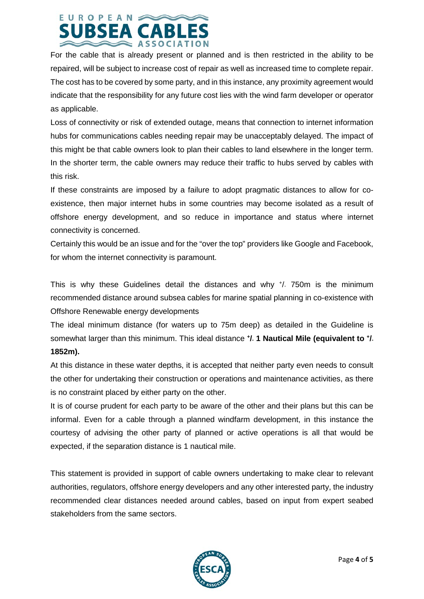## EUROPEAN **SUBSEA** CARI

For the cable that is already present or planned and is then restricted in the ability to be repaired, will be subject to increase cost of repair as well as increased time to complete repair. The cost has to be covered by some party, and in this instance, any proximity agreement would indicate that the responsibility for any future cost lies with the wind farm developer or operator as applicable.

Loss of connectivity or risk of extended outage, means that connection to internet information hubs for communications cables needing repair may be unacceptably delayed. The impact of this might be that cable owners look to plan their cables to land elsewhere in the longer term. In the shorter term, the cable owners may reduce their traffic to hubs served by cables with this risk.

If these constraints are imposed by a failure to adopt pragmatic distances to allow for coexistence, then major internet hubs in some countries may become isolated as a result of offshore energy development, and so reduce in importance and status where internet connectivity is concerned.

Certainly this would be an issue and for the "over the top" providers like Google and Facebook, for whom the internet connectivity is paramount.

This is why these Guidelines detail the distances and why  $\frac{1}{7}$ . 750m is the minimum recommended distance around subsea cables for marine spatial planning in co-existence with Offshore Renewable energy developments

The ideal minimum distance (for waters up to 75m deep) as detailed in the Guideline is somewhat larger than this minimum. This ideal distance **+/- 1 Nautical Mile (equivalent to +/- 1852m).**

At this distance in these water depths, it is accepted that neither party even needs to consult the other for undertaking their construction or operations and maintenance activities, as there is no constraint placed by either party on the other.

It is of course prudent for each party to be aware of the other and their plans but this can be informal. Even for a cable through a planned windfarm development, in this instance the courtesy of advising the other party of planned or active operations is all that would be expected, if the separation distance is 1 nautical mile.

This statement is provided in support of cable owners undertaking to make clear to relevant authorities, regulators, offshore energy developers and any other interested party, the industry recommended clear distances needed around cables, based on input from expert seabed stakeholders from the same sectors.